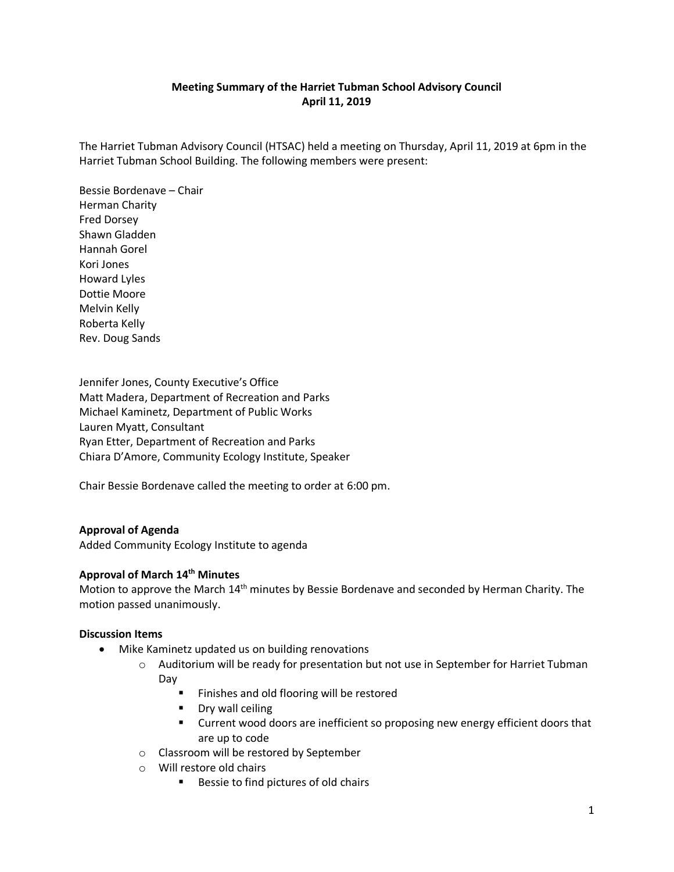# **Meeting Summary of the Harriet Tubman School Advisory Council April 11, 2019**

The Harriet Tubman Advisory Council (HTSAC) held a meeting on Thursday, April 11, 2019 at 6pm in the Harriet Tubman School Building. The following members were present:

Bessie Bordenave – Chair Herman Charity Fred Dorsey Shawn Gladden Hannah Gorel Kori Jones Howard Lyles Dottie Moore Melvin Kelly Roberta Kelly Rev. Doug Sands

Jennifer Jones, County Executive's Office Matt Madera, Department of Recreation and Parks Michael Kaminetz, Department of Public Works Lauren Myatt, Consultant Ryan Etter, Department of Recreation and Parks Chiara D'Amore, Community Ecology Institute, Speaker

Chair Bessie Bordenave called the meeting to order at 6:00 pm.

### **Approval of Agenda**

Added Community Ecology Institute to agenda

## **Approval of March 14th Minutes**

Motion to approve the March 14th minutes by Bessie Bordenave and seconded by Herman Charity. The motion passed unanimously.

#### **Discussion Items**

- Mike Kaminetz updated us on building renovations
	- $\circ$  Auditorium will be ready for presentation but not use in September for Harriet Tubman Day
		- **Finishes and old flooring will be restored**
		- **Dry wall ceiling**
		- **EXECUTE 1** Current wood doors are inefficient so proposing new energy efficient doors that are up to code
	- o Classroom will be restored by September
	- o Will restore old chairs
		- Bessie to find pictures of old chairs